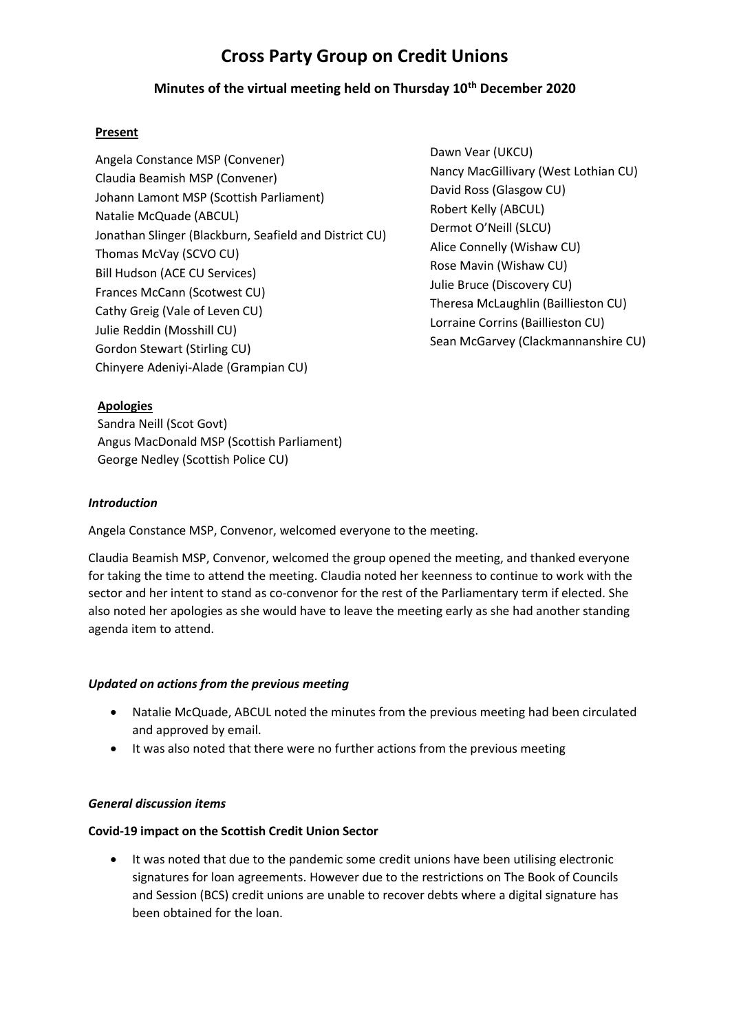# **Cross Party Group on Credit Unions**

## **Minutes of the virtual meeting held on Thursday 10th December 2020**

### **Present**

Angela Constance MSP (Convener) Claudia Beamish MSP (Convener) Johann Lamont MSP (Scottish Parliament) Natalie McQuade (ABCUL) Jonathan Slinger (Blackburn, Seafield and District CU) Thomas McVay (SCVO CU) Bill Hudson (ACE CU Services) Frances McCann (Scotwest CU) Cathy Greig (Vale of Leven CU) Julie Reddin (Mosshill CU) Gordon Stewart (Stirling CU) Chinyere Adeniyi-Alade (Grampian CU)

Dawn Vear (UKCU) Nancy MacGillivary (West Lothian CU) David Ross (Glasgow CU) Robert Kelly (ABCUL) Dermot O'Neill (SLCU) Alice Connelly (Wishaw CU) Rose Mavin (Wishaw CU) Julie Bruce (Discovery CU) Theresa McLaughlin (Baillieston CU) Lorraine Corrins (Baillieston CU) Sean McGarvey (Clackmannanshire CU)

## **Apologies**

Sandra Neill (Scot Govt) Angus MacDonald MSP (Scottish Parliament) George Nedley (Scottish Police CU)

## *Introduction*

Angela Constance MSP, Convenor, welcomed everyone to the meeting.

Claudia Beamish MSP, Convenor, welcomed the group opened the meeting, and thanked everyone for taking the time to attend the meeting. Claudia noted her keenness to continue to work with the sector and her intent to stand as co-convenor for the rest of the Parliamentary term if elected. She also noted her apologies as she would have to leave the meeting early as she had another standing agenda item to attend.

#### *Updated on actions from the previous meeting*

- Natalie McQuade, ABCUL noted the minutes from the previous meeting had been circulated and approved by email.
- It was also noted that there were no further actions from the previous meeting

#### *General discussion items*

#### **Covid-19 impact on the Scottish Credit Union Sector**

• It was noted that due to the pandemic some credit unions have been utilising electronic signatures for loan agreements. However due to the restrictions on The Book of Councils and Session (BCS) credit unions are unable to recover debts where a digital signature has been obtained for the loan.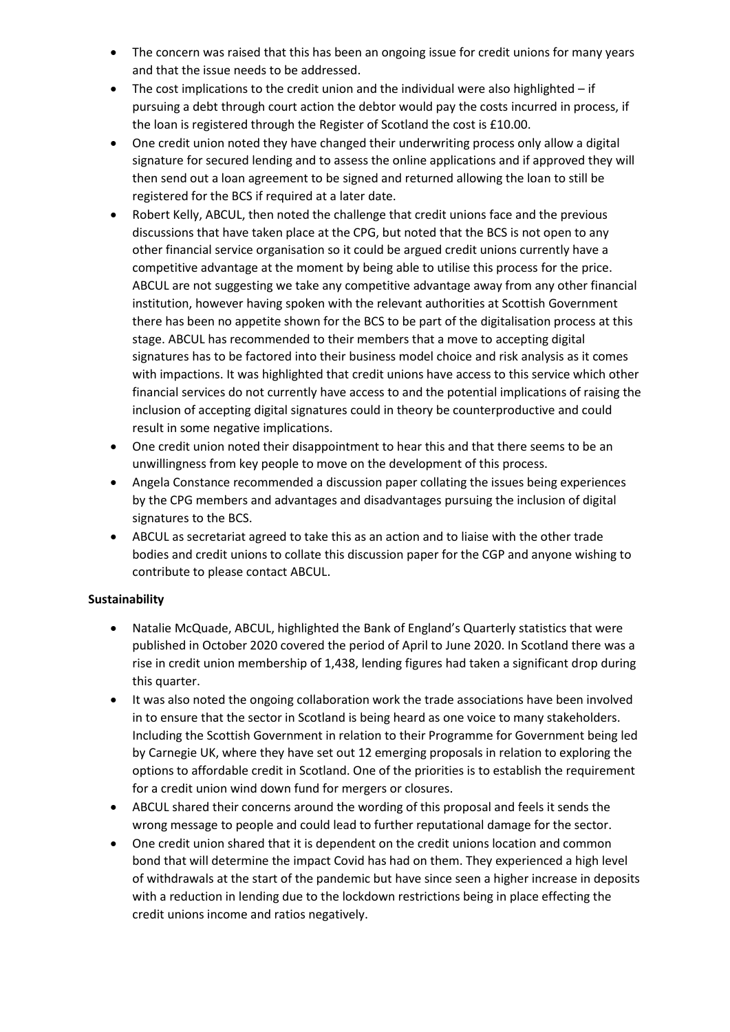- The concern was raised that this has been an ongoing issue for credit unions for many years and that the issue needs to be addressed.
- The cost implications to the credit union and the individual were also highlighted if pursuing a debt through court action the debtor would pay the costs incurred in process, if the loan is registered through the Register of Scotland the cost is £10.00.
- One credit union noted they have changed their underwriting process only allow a digital signature for secured lending and to assess the online applications and if approved they will then send out a loan agreement to be signed and returned allowing the loan to still be registered for the BCS if required at a later date.
- Robert Kelly, ABCUL, then noted the challenge that credit unions face and the previous discussions that have taken place at the CPG, but noted that the BCS is not open to any other financial service organisation so it could be argued credit unions currently have a competitive advantage at the moment by being able to utilise this process for the price. ABCUL are not suggesting we take any competitive advantage away from any other financial institution, however having spoken with the relevant authorities at Scottish Government there has been no appetite shown for the BCS to be part of the digitalisation process at this stage. ABCUL has recommended to their members that a move to accepting digital signatures has to be factored into their business model choice and risk analysis as it comes with impactions. It was highlighted that credit unions have access to this service which other financial services do not currently have access to and the potential implications of raising the inclusion of accepting digital signatures could in theory be counterproductive and could result in some negative implications.
- One credit union noted their disappointment to hear this and that there seems to be an unwillingness from key people to move on the development of this process.
- Angela Constance recommended a discussion paper collating the issues being experiences by the CPG members and advantages and disadvantages pursuing the inclusion of digital signatures to the BCS.
- ABCUL as secretariat agreed to take this as an action and to liaise with the other trade bodies and credit unions to collate this discussion paper for the CGP and anyone wishing to contribute to please contact ABCUL.

## **Sustainability**

- Natalie McQuade, ABCUL, highlighted the Bank of England's Quarterly statistics that were published in October 2020 covered the period of April to June 2020. In Scotland there was a rise in credit union membership of 1,438, lending figures had taken a significant drop during this quarter.
- It was also noted the ongoing collaboration work the trade associations have been involved in to ensure that the sector in Scotland is being heard as one voice to many stakeholders. Including the Scottish Government in relation to their Programme for Government being led by Carnegie UK, where they have set out 12 emerging proposals in relation to exploring the options to affordable credit in Scotland. One of the priorities is to establish the requirement for a credit union wind down fund for mergers or closures.
- ABCUL shared their concerns around the wording of this proposal and feels it sends the wrong message to people and could lead to further reputational damage for the sector.
- One credit union shared that it is dependent on the credit unions location and common bond that will determine the impact Covid has had on them. They experienced a high level of withdrawals at the start of the pandemic but have since seen a higher increase in deposits with a reduction in lending due to the lockdown restrictions being in place effecting the credit unions income and ratios negatively.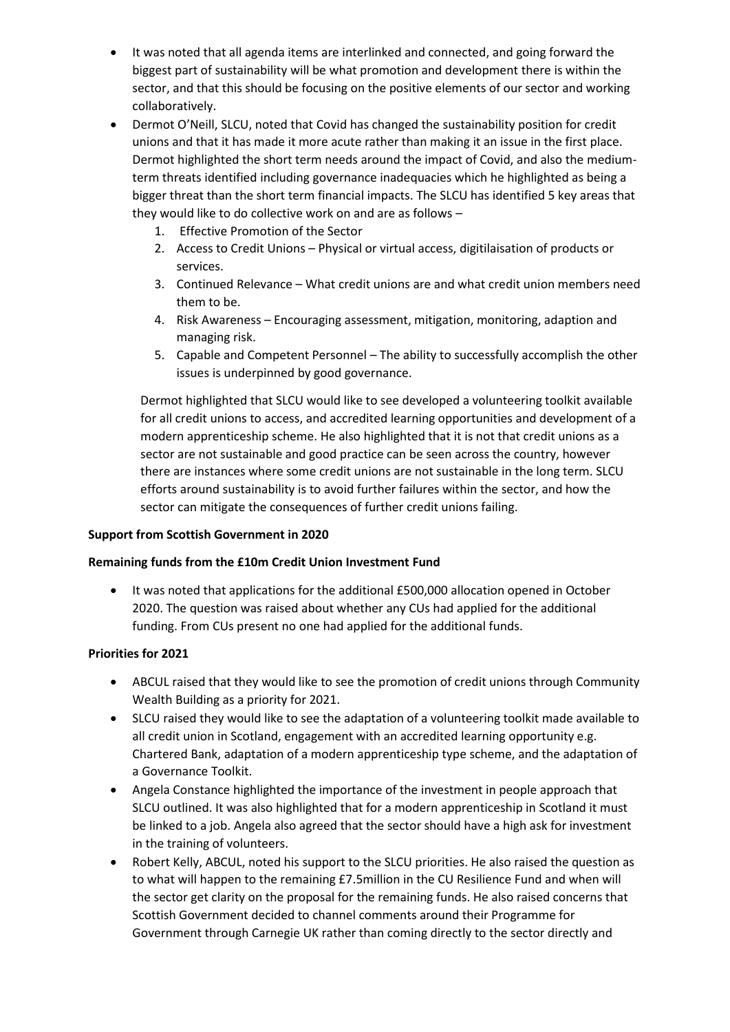- It was noted that all agenda items are interlinked and connected, and going forward the biggest part of sustainability will be what promotion and development there is within the sector, and that this should be focusing on the positive elements of our sector and working collaboratively.
- Dermot O'Neill, SLCU, noted that Covid has changed the sustainability position for credit unions and that it has made it more acute rather than making it an issue in the first place. Dermot highlighted the short term needs around the impact of Covid, and also the mediumterm threats identified including governance inadequacies which he highlighted as being a bigger threat than the short term financial impacts. The SLCU has identified 5 key areas that they would like to do collective work on and are as follows –
	- 1. Effective Promotion of the Sector
	- 2. Access to Credit Unions Physical or virtual access, digitilaisation of products or services.
	- 3. Continued Relevance What credit unions are and what credit union members need them to be.
	- 4. Risk Awareness Encouraging assessment, mitigation, monitoring, adaption and managing risk.
	- 5. Capable and Competent Personnel The ability to successfully accomplish the other issues is underpinned by good governance.

Dermot highlighted that SLCU would like to see developed a volunteering toolkit available for all credit unions to access, and accredited learning opportunities and development of a modern apprenticeship scheme. He also highlighted that it is not that credit unions as a sector are not sustainable and good practice can be seen across the country, however there are instances where some credit unions are not sustainable in the long term. SLCU efforts around sustainability is to avoid further failures within the sector, and how the sector can mitigate the consequences of further credit unions failing.

## **Support from Scottish Government in 2020**

## **Remaining funds from the £10m Credit Union Investment Fund**

• It was noted that applications for the additional £500,000 allocation opened in October 2020. The question was raised about whether any CUs had applied for the additional funding. From CUs present no one had applied for the additional funds.

#### **Priorities for 2021**

- ABCUL raised that they would like to see the promotion of credit unions through Community Wealth Building as a priority for 2021.
- SLCU raised they would like to see the adaptation of a volunteering toolkit made available to all credit union in Scotland, engagement with an accredited learning opportunity e.g. Chartered Bank, adaptation of a modern apprenticeship type scheme, and the adaptation of a Governance Toolkit.
- Angela Constance highlighted the importance of the investment in people approach that SLCU outlined. It was also highlighted that for a modern apprenticeship in Scotland it must be linked to a job. Angela also agreed that the sector should have a high ask for investment in the training of volunteers.
- Robert Kelly, ABCUL, noted his support to the SLCU priorities. He also raised the question as to what will happen to the remaining £7.5million in the CU Resilience Fund and when will the sector get clarity on the proposal for the remaining funds. He also raised concerns that Scottish Government decided to channel comments around their Programme for Government through Carnegie UK rather than coming directly to the sector directly and